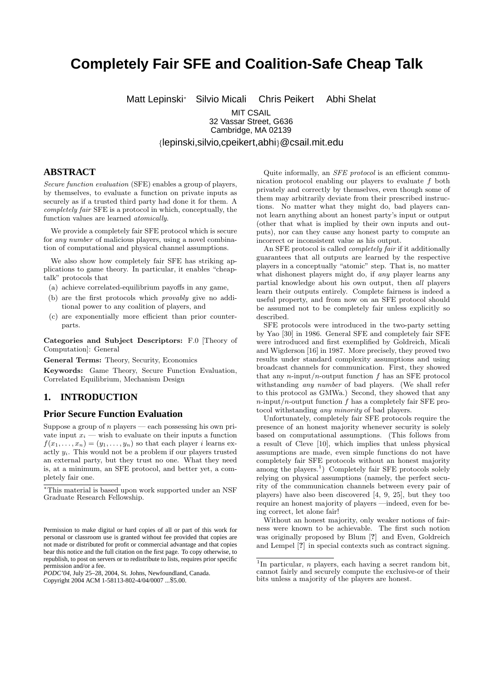# **Completely Fair SFE and Coalition-Safe Cheap Talk**

Matt Lepinski<sup>∗</sup> Silvio Micali Chris Peikert Abhi Shelat

**MIT CSAIL** 32 Vassar Street, G636 Cambridge, MA 02139

{lepinski,silvio,cpeikert,abhi}@csail.mit.edu

# **ABSTRACT**

Secure function evaluation (SFE) enables a group of players, by themselves, to evaluate a function on private inputs as securely as if a trusted third party had done it for them. A completely fair SFE is a protocol in which, conceptually, the function values are learned atomically.

We provide a completely fair SFE protocol which is secure for any number of malicious players, using a novel combination of computational and physical channel assumptions.

We also show how completely fair SFE has striking applications to game theory. In particular, it enables "cheaptalk" protocols that

- (a) achieve correlated-equilibrium payoffs in any game,
- (b) are the first protocols which provably give no additional power to any coalition of players, and
- (c) are exponentially more efficient than prior counterparts.

Categories and Subject Descriptors: F.0 [Theory of Computation]: General

General Terms: Theory, Security, Economics

Keywords: Game Theory, Secure Function Evaluation, Correlated Equilibrium, Mechanism Design

# **1. INTRODUCTION**

# **Prior Secure Function Evaluation**

Suppose a group of  $n$  players — each possessing his own private input  $x_i$  — wish to evaluate on their inputs a function  $f(x_1, \ldots, x_n) = (y_1, \ldots, y_n)$  so that each player *i* learns exactly  $y_i$ . This would not be a problem if our players trusted an external party, but they trust no one. What they need is, at a minimum, an SFE protocol, and better yet, a completely fair one.

<sup>∗</sup>This material is based upon work supported under an NSF Graduate Research Fellowship.

Copyright 2004 ACM 1-58113-802-4/04/0007 ...\$5.00.

Quite informally, an *SFE protocol* is an efficient communication protocol enabling our players to evaluate f both privately and correctly by themselves, even though some of them may arbitrarily deviate from their prescribed instructions. No matter what they might do, bad players cannot learn anything about an honest party's input or output (other that what is implied by their own inputs and outputs), nor can they cause any honest party to compute an incorrect or inconsistent value as his output.

An SFE protocol is called completely fair if it additionally guarantees that all outputs are learned by the respective players in a conceptually "atomic" step. That is, no matter what dishonest players might do, if any player learns any partial knowledge about his own output, then all players learn their outputs entirely. Complete fairness is indeed a useful property, and from now on an SFE protocol should be assumed not to be completely fair unless explicitly so described.

SFE protocols were introduced in the two-party setting by Yao [30] in 1986. General SFE and completely fair SFE were introduced and first exemplified by Goldreich, Micali and Wigderson [16] in 1987. More precisely, they proved two results under standard complexity assumptions and using broadcast channels for communication. First, they showed that any  $n$ -input/ $n$ -output function  $f$  has an SFE protocol withstanding any number of bad players. (We shall refer to this protocol as GMWa.) Second, they showed that any  $n$ -input/n-output function f has a completely fair SFE protocol withstanding any minority of bad players.

Unfortunately, completely fair SFE protocols require the presence of an honest majority whenever security is solely based on computational assumptions. (This follows from a result of Cleve [10], which implies that unless physical assumptions are made, even simple functions do not have completely fair SFE protocols without an honest majority among the players.<sup>1</sup>) Completely fair SFE protocols solely relying on physical assumptions (namely, the perfect security of the communication channels between every pair of players) have also been discovered [4, 9, 25], but they too require an honest majority of players —indeed, even for being correct, let alone fair!

Without an honest majority, only weaker notions of fairness were known to be achievable. The first such notion was originally proposed by Blum [?] and Even, Goldreich and Lempel [?] in special contexts such as contract signing.

Permission to make digital or hard copies of all or part of this work for personal or classroom use is granted without fee provided that copies are not made or distributed for profit or commercial advantage and that copies bear this notice and the full citation on the first page. To copy otherwise, to republish, to post on servers or to redistribute to lists, requires prior specific permission and/or a fee.

*PODC'04,* July 25–28, 2004, St. Johns, Newfoundland, Canada.

<sup>&</sup>lt;sup>1</sup>In particular, *n* players, each having a secret random bit, cannot fairly and securely compute the exclusive-or of their bits unless a majority of the players are honest.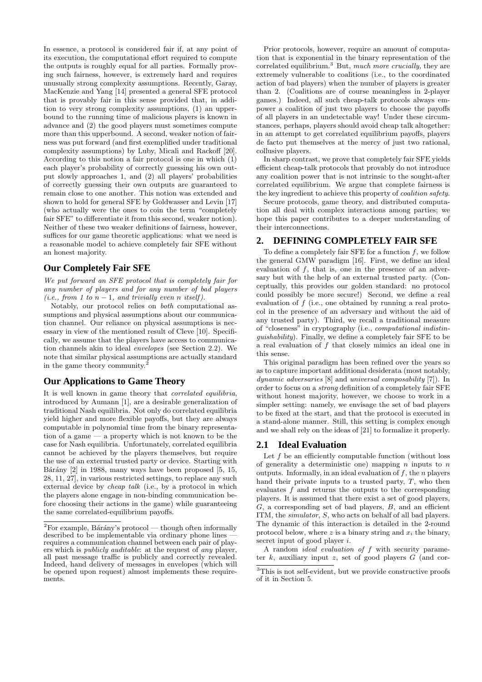In essence, a protocol is considered fair if, at any point of its execution, the computational effort required to compute the outputs is roughly equal for all parties. Formally proving such fairness, however, is extremely hard and requires unusually strong complexity assumptions. Recently, Garay, MacKenzie and Yang [14] presented a general SFE protocol that is provably fair in this sense provided that, in addition to very strong complexity assumptions, (1) an upperbound to the running time of malicious players is known in advance and (2) the good players must sometimes compute more than this upperbound. A second, weaker notion of fairness was put forward (and first exemplified under traditional complexity assumptions) by Luby, Micali and Rackoff [20]. According to this notion a fair protocol is one in which (1) each player's probability of correctly guessing his own output slowly approaches 1, and (2) all players' probabilities of correctly guessing their own outputs are guaranteed to remain close to one another. This notion was extended and shown to hold for general SFE by Goldwasser and Levin [17] (who actually were the ones to coin the term "completely fair SFE" to differentiate it from this second, weaker notion). Neither of these two weaker definitions of fairness, however, suffices for our game theoretic applications: what we need is a reasonable model to achieve completely fair SFE without an honest majority.

# **Our Completely Fair SFE**

We put forward an SFE protocol that is completely fair for any number of players and for any number of bad players (i.e., from 1 to  $n-1$ , and trivially even n itself).

Notably, our protocol relies on both computational assumptions and physical assumptions about our communication channel. Our reliance on physical assumptions is necessary in view of the mentioned result of Cleve [10]. Specifically, we assume that the players have access to communication channels akin to ideal envelopes (see Section 2.2). We note that similar physical assumptions are actually standard in the game theory community.<sup>2</sup>

# **Our Applications to Game Theory**

It is well known in game theory that correlated equilibria, introduced by Aumann [1], are a desirable generalization of traditional Nash equilibria. Not only do correlated equilibria yield higher and more flexible payoffs, but they are always computable in polynomial time from the binary representation of a game — a property which is not known to be the case for Nash equilibria. Unfortunately, correlated equilibria cannot be achieved by the players themselves, but require the use of an external trusted party or device. Starting with Bárány  $[2]$  in 1988, many ways have been proposed  $[5, 15,$ 28, 11, 27], in various restricted settings, to replace any such external device by cheap talk (i.e., by a protocol in which the players alone engage in non-binding communication before choosing their actions in the game) while guaranteeing the same correlated-equilibrium payoffs.

Prior protocols, however, require an amount of computation that is exponential in the binary representation of the correlated equilibrium.<sup>3</sup> But, much more crucially, they are extremely vulnerable to coalitions (i.e., to the coordinated action of bad players) when the number of players is greater than 2. (Coalitions are of course meaningless in 2-player games.) Indeed, all such cheap-talk protocols always empower a coalition of just two players to choose the payoffs of all players in an undetectable way! Under these circumstances, perhaps, players should avoid cheap talk altogether: in an attempt to get correlated equilibrium payoffs, players de facto put themselves at the mercy of just two rational, collusive players.

In sharp contrast, we prove that completely fair SFE yields efficient cheap-talk protocols that provably do not introduce any coalition power that is not intrinsic to the sought-after correlated equilibrium. We argue that complete fairness is the key ingredient to achieve this property of coalition safety.

Secure protocols, game theory, and distributed computation all deal with complex interactions among parties; we hope this paper contributes to a deeper understanding of their interconnections.

# **2. DEFINING COMPLETELY FAIR SFE**

To define a completely fair SFE for a function  $f$ , we follow the general GMW paradigm [16]. First, we define an ideal evaluation of  $f$ , that is, one in the presence of an adversary but with the help of an external trusted party. (Conceptually, this provides our golden standard: no protocol could possibly be more secure!) Second, we define a real evaluation of f (i.e., one obtained by running a real protocol in the presence of an adversary and without the aid of any trusted party). Third, we recall a traditional measure of "closeness" in cryptography (i.e., computational indistinguishability). Finally, we define a completely fair SFE to be a real evaluation of f that closely mimics an ideal one in this sense.

This original paradigm has been refined over the years so as to capture important additional desiderata (most notably, dynamic adversaries [8] and universal composability [7]). In order to focus on a strong definition of a completely fair SFE without honest majority, however, we choose to work in a simpler setting: namely, we envisage the set of bad players to be fixed at the start, and that the protocol is executed in a stand-alone manner. Still, this setting is complex enough and we shall rely on the ideas of [21] to formalize it properly.

# **2.1 Ideal Evaluation**

Let  $f$  be an efficiently computable function (without loss of generality a deterministic one) mapping  $n$  inputs to  $n$ outputs. Informally, in an ideal evaluation of  $f$ , the n players hand their private inputs to a trusted party,  $T$ , who then evaluates  $f$  and returns the outputs to the corresponding players. It is assumed that there exist a set of good players,  $G$ , a corresponding set of bad players,  $B$ , and an efficient ITM, the simulator, S, who acts on behalf of all bad players. The dynamic of this interaction is detailed in the 2-round protocol below, where z is a binary string and  $x_i$  the binary, secret input of good player *i*.

A random ideal evaluation of f with security parameter  $k$ , auxiliary input z, set of good players  $G$  (and cor-

 $2F$ or example, Bárány's protocol — though often informally described to be implementable via ordinary phone lines requires a communication channel between each pair of players which is publicly auditable: at the request of any player, all past message traffic is publicly and correctly revealed. Indeed, hand delivery of messages in envelopes (which will be opened upon request) almost implements these requirements.

 ${}^{3}{\rm This}$  is not self-evident, but we provide constructive proofs of it in Section 5.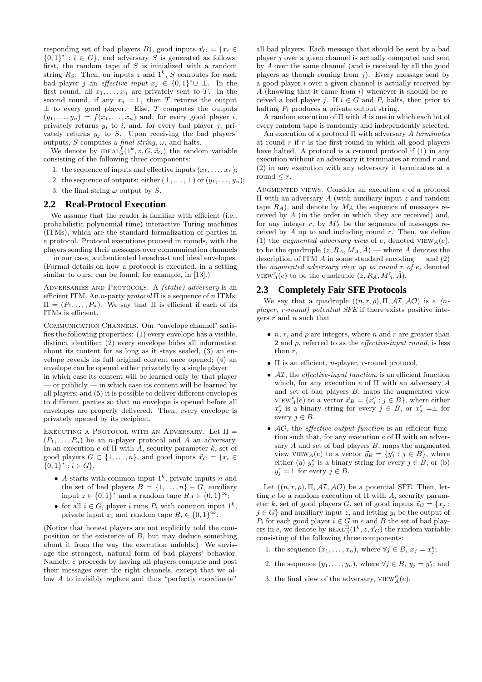responding set of bad players B), good inputs  $\vec{x}_G = \{x_i \in$  ${0,1}^* : i \in G$ , and adversary S is generated as follows: first, the random tape of  $S$  is initialized with a random string  $R_S$ . Then, on inputs z and  $1^k$ , S computes for each bad player j an effective input  $x_j \in \{0,1\}^* \cup \perp$ . In the first round, all  $x_1, \ldots, x_n$  are privately sent to T. In the second round, if any  $x_j = \perp$ , then T returns the output  $\perp$  to every good player. Else, T computes the outputs  $(y_1, \ldots, y_n) = f(x_1, \ldots, x_n)$  and, for every good player i, privately returns  $y_i$  to i, and, for every bad player j, privately returns  $y_i$  to S. Upon receiving the bad players' outputs, S computes a final string,  $\omega$ , and halts.

We denote by  $\text{IDEAL}_S^f(1^k, z, G, \vec{x}_G)$  the random variable consisting of the following three components:

- 1. the sequence of inputs and effective inputs  $(x_1, \ldots, x_n);$
- 2. the sequence of outputs: either  $(\bot, \ldots, \bot)$  or  $(y_1, \ldots, y_n)$ ;
- 3. the final string  $\omega$  output by S.

### **2.2 Real-Protocol Execution**

We assume that the reader is familiar with efficient (i.e., probabilistic polynomial time) interactive Turing machines (ITMs), which are the standard formalization of parties in a protocol. Protocol executions proceed in rounds, with the players sending their messages over communication channels — in our case, authenticated broadcast and ideal envelopes. (Formal details on how a protocol is executed, in a setting similar to ours, can be found, for example, in [13].)

ADVERSARIES AND PROTOCOLS. A (static) adversary is an efficient ITM. An *n*-party  $\text{protocol} \Pi$  is a sequence of *n* ITMs:  $\Pi = (P_1, \ldots, P_n)$ . We say that  $\Pi$  is efficient if each of its ITMs is efficient.

COMMUNICATION CHANNELS. Our "envelope channel" satisfies the following properties: (1) every envelope has a visible, distinct identifier; (2) every envelope hides all information about its content for as long as it stays sealed, (3) an envelope reveals its full original content once opened; (4) an envelope can be opened either privately by a single player in which case its content will be learned only by that player  $\sim$  or publicly  $\sim$  in which case its content will be learned by all players; and (5) it is possible to deliver different envelopes to different parties so that no envelope is opened before all envelopes are properly delivered. Then, every envelope is privately opened by its recipient.

EXECUTING A PROTOCOL WITH AN ADVERSARY. Let  $\Pi$  =  $(P_1, \ldots, P_n)$  be an *n*-player protocol and A an adversary. In an execution  $e$  of  $\Pi$  with A, security parameter k, set of good players  $G \subset \{1, \ldots, n\}$ , and good inputs  $\vec{x}_G = \{x_i \in$  ${0,1}^* : i \in G$ ,

- A starts with common input  $1^k$ , private inputs n and the set of bad players  $B = \{1, \ldots, n\} - G$ , auxiliary input  $z \in \{0,1\}^*$  and a random tape  $R_A \in \{0,1\}^\infty$ ;
- for all  $i \in G$ , player i runs  $P_i$  with common input  $1^k$ , private input  $x_i$  and random tape  $R_i \in \{0,1\}^{\infty}$ .

(Notice that honest players are not explicitly told the composition or the existence of  $B$ , but may deduce something about it from the way the execution unfolds.) We envisage the strongest, natural form of bad players' behavior. Namely, e proceeds by having all players compute and post their messages over the right channels, except that we allow A to invisibly replace and thus "perfectly coordinate"

all bad players. Each message that should be sent by a bad player j over a given channel is actually computed and sent by A over the same channel (and is received by all the good players as though coming from  $j$ ). Every message sent by a good player i over a given channel is actually received by  $A$  (knowing that it came from  $i$ ) whenever it should be received a bad player j. If  $i \in G$  and  $P_i$  halts, then prior to halting  $P_i$  produces a private output string.

A random execution of Π with A is one in which each bit of every random tape is randomly and independently selected.

An execution of a protocol  $\Pi$  with adversary A terminates at round  $r$  if  $r$  is the first round in which all good players have halted. A protocol is a  $r$ -round protocol if  $(1)$  in any execution without an adversary it terminates at round  $r$  and (2) in any execution with any adversary it terminates at a round  $\leq r$ .

AUGMENTED VIEWS. Consider an execution  $e$  of a protocol Π with an adversary A (with auxiliary input z and random tape  $R_A$ ), and denote by  $M_A$  the sequence of messages received by A (in the order in which they are received) and, for any integer  $r$ , by  $M_A^r$  be the sequence of messages received by  $\overline{A}$  up to and including round  $r$ . Then, we define (1) the *augmented adversary view* of e, denoted  $VIEW_A(e)$ , to be the quadruple  $(z, R_A, M_A, \hat{A})$  — where  $\hat{A}$  denotes the description of ITM  $\ddot{A}$  in some standard encoding — and (2) the augmented adversary view up to round r of e, denoted VIEW<sub>A</sub>(e) to be the quadruple  $(z, R_A, M_A^r, \hat{A})$ .

### **2.3 Completely Fair SFE Protocols**

We say that a quadruple  $((n, r, \rho), \Pi, \mathcal{AI}, \mathcal{AO})$  is a  $(n$ player, r-round) potential SFE if there exists positive integers  $r$  and  $n$  such that

- *n*, *r*, and  $\rho$  are integers, where *n* and *r* are greater than 2 and  $\rho$ , referred to as the *effective-input round*, is less than r,
- $\Pi$  is an efficient, *n*-player, *r*-round protocol,
- $\mathcal{AI}$ , the *effective-input function*, is an efficient function which, for any execution e of  $\Pi$  with an adversary A and set of bad players B, maps the augmented view VIEW<sup> $\rho_A(e)$ </sup> to a vector  $\vec{x}_B = \{x_j^e : j \in B\}$ , where either  $x_j^e$  is a binary string for every  $j \in B$ , or  $x_j^e = \perp$  for every  $j \in B$ .
- $AO$ , the *effective-output function* is an efficient function such that, for any execution  $e$  of  $\Pi$  with an adversary  $A$  and set of bad players  $B$ , maps the augmented view VIEW<sub>A</sub> $(e)$  to a vector  $\vec{y}_B = \{y_j^e : j \in B\}$ , where either (a)  $y_j^e$  is a binary string for every  $j \in B$ , or (b)  $y_j^e = \perp$  for every  $j \in B$ .

Let  $((n, r, \rho), \Pi, \mathcal{AI}, \mathcal{AO})$  be a potential SFE. Then, letting e be a random execution of  $\Pi$  with A, security parameter k, set of good players G, set of good inputs  $\vec{x}_G = \{x_i :$  $j \in G$  and auxiliary input z, and letting  $y_i$  be the output of  $P_i$  for each good player  $i \in G$  in e and B the set of bad players in e, we denote by  $REAL_A^{\Pi}(1^k, z, \vec{x}_G)$  the random variable consisting of the following three components:

- 1. the sequence  $(x_1, \ldots, x_n)$ , where  $\forall j \in B$ ,  $x_j = x_j^e$ ;
- 2. the sequence  $(y_1, \ldots, y_n)$ , where  $\forall j \in B$ ,  $y_j = y_j^e$ ; and
- 3. the final view of the adversary,  $VIEW_A^{\rho}(e)$ .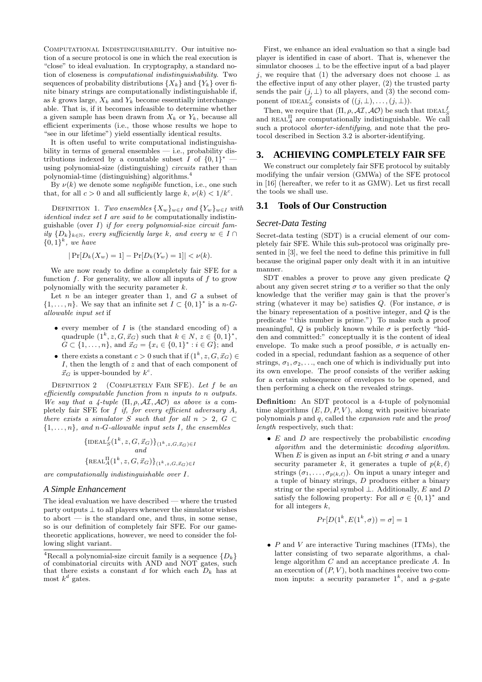Computational Indistinguishability. Our intuitive notion of a secure protocol is one in which the real execution is "close" to ideal evaluation. In cryptography, a standard notion of closeness is computational indistinguishability. Two sequences of probability distributions  $\{X_k\}$  and  $\{Y_k\}$  over finite binary strings are computationally indistinguishable if, as k grows large,  $X_k$  and  $Y_k$  become essentially interchangeable. That is, if it becomes infeasible to determine whether a given sample has been drawn from  $X_k$  or  $Y_k$ , because all efficient experiments (i.e., those whose results we hope to "see in our lifetime") yield essentially identical results.

It is often useful to write computational indistinguishability in terms of general ensembles — i.e., probability distributions indexed by a countable subset I of  $\{0,1\}^*$  – using polynomial-size (distinguishing) circuits rather than polynomial-time (distinguishing) algorithms.<sup>4</sup>

By  $\nu(k)$  we denote some *negligible* function, i.e., one such that, for all  $c > 0$  and all sufficiently large k,  $\nu(k) < 1/k<sup>c</sup>$ .

DEFINITION 1. Two ensembles  $\{X_w\}_{w\in I}$  and  $\{Y_w\}_{w\in I}$  with *identical index set I are said to be computationally indistin*guishable (over  $I$ ) if for every polynomial-size circuit family  $\{D_k\}_{k\in\mathbb{N}}$ , every sufficiently large k, and every  $w \in I \cap$  $\{0,1\}^k$ , we have

$$
|\Pr[D_k(X_w) = 1] - \Pr[D_k(Y_w) = 1]| < \nu(k).
$$

We are now ready to define a completely fair SFE for a function  $f$ . For generality, we allow all inputs of  $f$  to grow polynomially with the security parameter k.

Let  $n$  be an integer greater than 1, and  $G$  a subset of  $\{1,\ldots,n\}$ . We say that an infinite set  $I \subset \{0,1\}^*$  is a n-Gallowable input set if

- every member of  $I$  is (the standard encoding of) a quadruple  $(1^k, z, G, \vec{x}_G)$  such that  $k \in N$ ,  $z \in \{0, 1\}^*$ ,  $G \subset \{1, \ldots, n\}$ , and  $\vec{x}_G = \{x_i \in \{0, 1\}^* : i \in G\}$ ; and
- there exists a constant  $c > 0$  such that if  $(1^k, z, G, \vec{x}_G) \in$ I, then the length of z and that of each component of  $\vec{x}_G$  is upper-bounded by  $k^c$ .

DEFINITION 2 (COMPLETELY FAIR SFE). Let  $f$  be an efficiently computable function from n inputs to n outputs. We say that a 4-tuple  $(\Pi, \rho, \mathcal{AI}, \mathcal{AO})$  as above is a completely fair SFE for f if, for every efficient adversary A, there exists a simulator S such that for all  $n > 2$ ,  $G \subset$  $\{1, \ldots, n\}$ , and n-G-allowable input sets I, the ensembles

$$
{\lbrace \text{IDEAL}_{S}^{f}(1^{k}, z, G, \vec{x}_{G}) \rbrace_{(1^{k}, z, G, \vec{x}_{G}) \in I} \atop \lbrace \text{REAL}_{A}^{\Pi}(1^{k}, z, G, \vec{x}_{G}) \rbrace_{(1^{k}, z, G, \vec{x}_{G}) \in I}}
$$

are computationally indistinguishable over I.

### *A Simple Enhancement*

The ideal evaluation we have described — where the trusted party outputs  $\perp$  to all players whenever the simulator wishes to abort — is the standard one, and thus, in some sense, so is our definition of completely fair SFE. For our gametheoretic applications, however, we need to consider the following slight variant.

First, we enhance an ideal evaluation so that a single bad player is identified in case of abort. That is, whenever the simulator chooses  $\perp$  to be the effective input of a bad player j, we require that (1) the adversary does not choose  $\perp$  as the effective input of any other player, (2) the trusted party sends the pair  $(j, \perp)$  to all players, and (3) the second component of IDEAL<sup>f</sup><sub>S</sub> consists of  $((j, \perp), \ldots, (j, \perp)).$ 

Then, we require that  $(\Pi, \rho, \mathcal{AI}, \mathcal{AO})$  be such that  $\text{IDEAL}_S^f$ and  $\text{REAL}_{A}^{\Pi}$  are computationally indistinguishable. We call such a protocol *aborter-identifying*, and note that the protocol described in Section 3.2 is aborter-identifying.

# **3. ACHIEVING COMPLETELY FAIR SFE**

We construct our completely fair SFE protocol by suitably modifying the unfair version (GMWa) of the SFE protocol in [16] (hereafter, we refer to it as GMW). Let us first recall the tools we shall use.

### **3.1 Tools of Our Construction**

#### *Secret-Data Testing*

Secret-data testing (SDT) is a crucial element of our completely fair SFE. While this sub-protocol was originally presented in [3], we feel the need to define this primitive in full because the original paper only dealt with it in an intuitive manner.

SDT enables a prover to prove any given predicate Q about any given secret string  $\sigma$  to a verifier so that the only knowledge that the verifier may gain is that the prover's string (whatever it may be) satisfies Q. (For instance,  $\sigma$  is the binary representation of a positive integer, and Q is the predicate " this number is prime.") To make such a proof meaningful, Q is publicly known while  $\sigma$  is perfectly "hidden and committed:" conceptually it is the content of ideal envelope. To make such a proof possible,  $\sigma$  is actually encoded in a special, redundant fashion as a sequence of other strings,  $\sigma_1, \sigma_2, \ldots$ , each one of which is individually put into its own envelope. The proof consists of the verifier asking for a certain subsequence of envelopes to be opened, and then performing a check on the revealed strings.

Definition: An SDT protocol is a 4-tuple of polynomial time algorithms  $(E, D, P, V)$ , along with positive bivariate polynomials  $p$  and  $q$ , called the *expansion rate* and the *proof* length respectively, such that:

•  $E$  and  $D$  are respectively the probabilistic encoding algorithm and the deterministic decoding algorithm. When E is given as input an  $\ell$ -bit string  $\sigma$  and a unary security parameter  $k$ , it generates a tuple of  $p(k, \ell)$ strings  $(\sigma_1, \ldots, \sigma_{p(k,\ell)})$ . On input a unary integer and a tuple of binary strings, D produces either a binary string or the special symbol  $\bot$ . Additionally, E and D satisfy the following property: For all  $\sigma \in \{0,1\}^*$  and for all integers  $k$ ,

$$
Pr[D(1^k, E(1^k, \sigma)) = \sigma] = 1
$$

•  $P$  and  $V$  are interactive Turing machines (ITMs), the latter consisting of two separate algorithms, a challenge algorithm C and an acceptance predicate A. In an execution of  $(P, V)$ , both machines receive two common inputs: a security parameter  $1^k$ , and a g-gate

<sup>&</sup>lt;sup>4</sup>Recall a polynomial-size circuit family is a sequence  $\{D_k\}$ of combinatorial circuits with AND and NOT gates, such that there exists a constant d for which each  $D_k$  has at most  $k^d$  gates.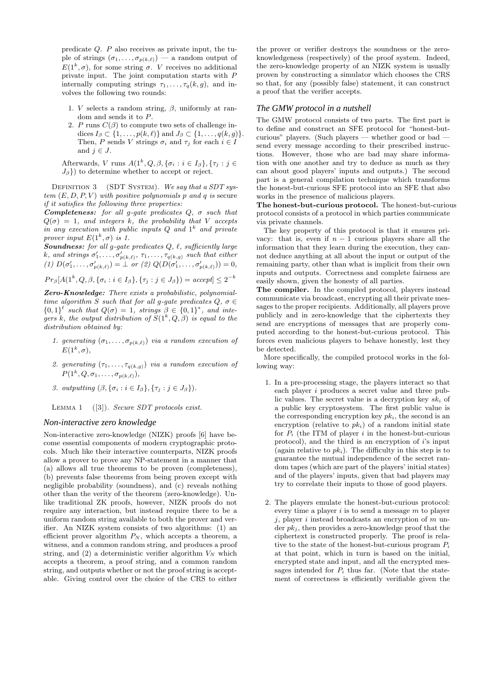predicate  $Q$ .  $P$  also receives as private input, the tuple of strings  $(\sigma_1, \ldots, \sigma_{p(k,\ell)})$  — a random output of  $E(1^k, \sigma)$ , for some string  $\sigma$ . V receives no additional private input. The joint computation starts with P internally computing strings  $\tau_1, \ldots, \tau_q(k, g)$ , and involves the following two rounds:

- 1. *V* selects a random string,  $\beta$ , uniformly at random and sends it to P.
- 2. P runs  $C(\beta)$  to compute two sets of challenge indices  $I_{\beta} \subset \{1, \ldots, p(k, \ell)\}\$  and  $J_{\beta} \subset \{1, \ldots, q(k, g)\}\$ . Then, P sends V strings  $\sigma_i$  and  $\tau_j$  for each  $i \in I$ and  $j \in J$ .

Afterwards, V runs  $A(1^k, Q, \beta, {\{\sigma_i : i \in I_\beta\}, \{\tau_j : j \in \mathbb{R}\}})$  $J_{\beta}$ }) to determine whether to accept or reject.

DEFINITION  $3$  (SDT SYSTEM). We say that a SDT system  $(E, D, P, V)$  with positive polynomials p and q is secure if it satisfies the following three properties:

**Completeness:** for all g-gate predicates  $Q$ ,  $\sigma$  such that  $Q(\sigma) = 1$ , and integers k, the probability that V accepts in any execution with public inputs  $Q$  and  $1^k$  and private prover input  $E(1^k, \sigma)$  is 1.

Soundness: for all g-gate predicates  $Q, \ell,$  sufficiently large k, and strings  $\sigma'_1, \ldots, \sigma'_{p(k,\ell)}, \tau_1, \ldots, \tau_{q(k,g)}$  such that either (1)  $D(\sigma'_1, ..., \sigma'_{p(k,\ell)}) = \perp$  or (2)  $Q(D(\sigma'_1, ..., \sigma'_{p(k,\ell)})) = 0$ ,

$$
Pr_{\beta}[A(1^k, Q, \beta, {\sigma_i : i \in I_{\beta}}, {\tau_j : j \in J_{\beta}}]) = accept] \leq 2^{-k}
$$

Zero-Knowledge: There exists a probabilistic, polynomialtime algorithm S such that for all q-qate predicates  $Q, \sigma \in$  ${0,1}^{\ell}$  such that  $Q(\sigma) = 1$ , strings  $\beta \in \{0,1\}^*$ , and integers k, the output distribution of  $S(1^k, Q, \beta)$  is equal to the distribution obtained by:

- 1. generating  $(\sigma_1, \ldots, \sigma_{p(k,\ell)})$  via a random execution of  $E(1^k, \sigma),$
- 2. generating  $(\tau_1, \ldots, \tau_{q(k,g)})$  via a random execution of  $P(1^k,Q,\sigma_1,\ldots,\sigma_{p(k,\ell)}),$
- 3. outputting  $(\beta, {\{\sigma_i : i \in I_\beta\}}, {\{\tau_i : j \in J_\beta\}}).$

LEMMA 1  $([3])$ . Secure SDT protocols exist.

#### *Non-interactive zero knowledge*

Non-interactive zero-knowledge (NIZK) proofs [6] have become essential components of modern cryptographic protocols. Much like their interactive counterparts, NIZK proofs allow a prover to prove any NP-statement in a manner that (a) allows all true theorems to be proven (completeness), (b) prevents false theorems from being proven except with negligible probability (soundness), and (c) reveals nothing other than the verity of the theorem (zero-knowledge). Unlike traditional ZK proofs, however, NIZK proofs do not require any interaction, but instead require there to be a uniform random string available to both the prover and verifier. An NIZK system consists of two algorithms: (1) an efficient prover algorithm  $P_N$ , which accepts a theorem, a witness, and a common random string, and produces a proof string, and  $(2)$  a deterministic verifier algorithm  $V_N$  which accepts a theorem, a proof string, and a common random string, and outputs whether or not the proof string is acceptable. Giving control over the choice of the CRS to either

the prover or verifier destroys the soundness or the zeroknowledgeness (respectively) of the proof system. Indeed, the zero-knowledge property of an NIZK system is usually proven by constructing a simulator which chooses the CRS so that, for any (possibly false) statement, it can construct a proof that the verifier accepts.

#### *The GMW protocol in a nutshell*

The GMW protocol consists of two parts. The first part is to define and construct an SFE protocol for "honest-butcurious" players. (Such players — whether good or bad send every message according to their prescribed instructions. However, those who are bad may share information with one another and try to deduce as much as they can about good players' inputs and outputs.) The second part is a general compilation technique which transforms the honest-but-curious SFE protocol into an SFE that also works in the presence of malicious players.

The honest-but-curious protocol. The honest-but-curious protocol consists of a protocol in which parties communicate via private channels.

The key property of this protocol is that it ensures privacy: that is, even if  $n-1$  curious players share all the information that they learn during the execution, they cannot deduce anything at all about the input or output of the remaining party, other than what is implicit from their own inputs and outputs. Correctness and complete fairness are easily shown, given the honesty of all parties.

The compiler. In the compiled protocol, players instead communicate via broadcast, encrypting all their private messages to the proper recipients. Additionally, all players prove publicly and in zero-knowledge that the ciphertexts they send are encryptions of messages that are properly computed according to the honest-but-curious protocol. This forces even malicious players to behave honestly, lest they be detected.

More specifically, the compiled protocol works in the following way:

- 1. In a pre-processing stage, the players interact so that each player i produces a secret value and three public values. The secret value is a decryption key  $sk_i$  of a public key cryptosystem. The first public value is the corresponding encryption key  $pk_i$ , the second is an encryption (relative to  $pk<sub>i</sub>$ ) of a random initial state for  $P_i$  (the ITM of player i in the honest-but-curious protocol), and the third is an encryption of  $i$ 's input (again relative to  $pk_i$ ). The difficulty in this step is to guarantee the mutual independence of the secret random tapes (which are part of the players' initial states) and of the players' inputs, given that bad players may try to correlate their inputs to those of good players.
- 2. The players emulate the honest-but-curious protocol: every time a player  $i$  is to send a message  $m$  to player  $j$ , player i instead broadcasts an encryption of  $m$  under  $pk_j$ , then provides a zero-knowledge proof that the ciphertext is constructed properly. The proof is relative to the state of the honest-but-curious program  $P_i$ at that point, which in turn is based on the initial, encrypted state and input, and all the encrypted messages intended for  $P_i$  thus far. (Note that the statement of correctness is efficiently verifiable given the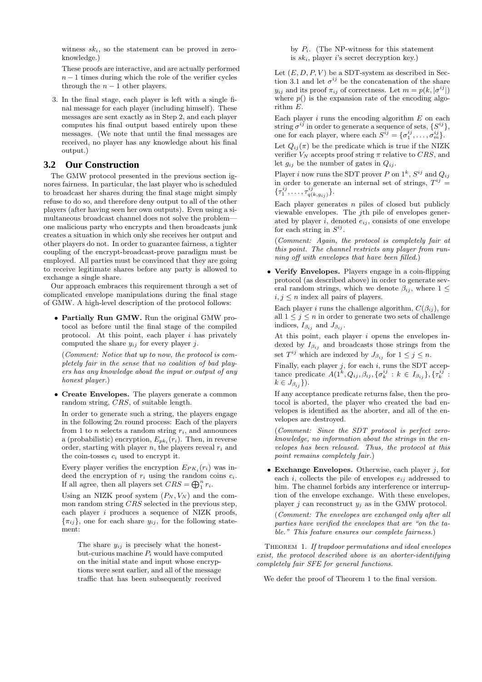witness  $sk_i$ , so the statement can be proved in zeroknowledge.)

These proofs are interactive, and are actually performed  $n-1$  times during which the role of the verifier cycles through the  $n - 1$  other players.

3. In the final stage, each player is left with a single final message for each player (including himself). These messages are sent exactly as in Step 2, and each player computes his final output based entirely upon these messages. (We note that until the final messages are received, no player has any knowledge about his final output.)

### **3.2 Our Construction**

The GMW protocol presented in the previous section ignores fairness. In particular, the last player who is scheduled to broadcast her shares during the final stage might simply refuse to do so, and therefore deny output to all of the other players (after having seen her own outputs). Even using a simultaneous broadcast channel does not solve the problem one malicious party who encrypts and then broadcasts junk creates a situation in which only she receives her output and other players do not. In order to guarantee fairness, a tighter coupling of the encrypt-broadcast-prove paradigm must be employed. All parties must be convinced that they are going to receive legitimate shares before any party is allowed to exchange a single share.

Our approach embraces this requirement through a set of complicated envelope manipulations during the final stage of GMW. A high-level description of the protocol follows:

• Partially Run GMW. Run the original GMW protocol as before until the final stage of the compiled protocol. At this point, each player  $i$  has privately computed the share  $y_{ij}$  for every player j.

(Comment: Notice that up to now, the protocol is completely fair in the sense that no coalition of bad players has any knowledge about the input or output of any honest player.)

• Create Envelopes. The players generate a common random string, CRS, of suitable length.

In order to generate such a string, the players engage in the following  $2n$  round process: Each of the players from 1 to *n* selects a random string  $r_i$ , and announces a (probabilistic) encryption,  $E_{pk_i}(r_i)$ . Then, in reverse order, starting with player n, the players reveal  $r_i$  and the coin-tosses  $c_i$  used to encrypt it.

Every player verifies the encryption  $E_{PK_i}(r_i)$  was indeed the encryption of  $r_i$  using the random coins  $c_i$ . If all agree, then all players set  $CRS = \bigoplus_{i=1}^{n} r_i$ .

Using an NIZK proof system  $(P_N, V_N)$  and the common random string CRS selected in the previous step, each player  $i$  produces a sequence of NIZK proofs,  $\{\pi_{ij}\}\text{, one for each share }y_{ij}\text{, for the following state-}$ ment:

The share  $y_{ij}$  is precisely what the honestbut-curious machine  $P_i$  would have computed on the initial state and input whose encryptions were sent earlier, and all of the message traffic that has been subsequently received

by  $P_i$ . (The NP-witness for this statement is  $sk_i$ , player i's secret decryption key.)

Let  $(E, D, P, V)$  be a SDT-system as described in Section 3.1 and let  $\sigma^{ij}$  be the concatenation of the share  $y_{ij}$  and its proof  $\pi_{ij}$  of correctness. Let  $m = p(k, |\sigma^{ij}|)$ where  $p()$  is the expansion rate of the encoding algorithm E.

Each player  $i$  runs the encoding algorithm  $E$  on each string  $\sigma^{ij}$  in order to generate a sequence of sets,  $\{S^{ij}\},$ one for each player, where each  $S^{ij} = \{ \sigma_1^{ij}, \ldots, \sigma_m^{ij} \}.$ 

Let  $Q_{ij}(\pi)$  be the predicate which is true if the NIZK verifier  $V_N$  accepts proof string  $\pi$  relative to CRS, and let  $g_{ij}$  be the number of gates in  $Q_{ij}$ .

Player i now runs the SDT prover P on  $1^k$ ,  $S^{ij}$  and  $Q_{ij}$ in order to generate an internal set of strings,  $T^{ij} =$  $\{\tau_1^{ij}, \ldots, \tau_{q(k, g_{ij})}^{ij}\}.$ 

Each player generates  $n$  piles of closed but publicly viewable envelopes. The jth pile of envelopes generated by player i, denoted  $e_{ij}$ , consists of one envelope for each string in  $S^{ij}$ .

(Comment: Again, the protocol is completely fair at this point. The channel restricts any player from running off with envelopes that have been filled.)

• Verify Envelopes. Players engage in a coin-flipping protocol (as described above) in order to generate several random strings, which we denote  $\beta_{ij}$ , where  $1 \leq$  $i, j \leq n$  index all pairs of players.

Each player *i* runs the challenge algorithm,  $C(\beta_{ij})$ , for all  $1 \leq i \leq n$  in order to generate two sets of challenge indices,  $I_{\beta_{ij}}$  and  $J_{\beta_{ij}}$ .

At this point, each player  $i$  opens the envelopes indexed by  $I_{\beta_{ij}}$  and broadcasts those strings from the set  $T^{ij}$  which are indexed by  $J_{\beta_{ij}}$  for  $1 \leq j \leq n$ .

Finally, each player  $j$ , for each  $i$ , runs the SDT acceptance predicate  $A(1^k, Q_{ij}, \beta_{ij}, \{\sigma_k^{ij} : k \in I_{\beta_{ij}}\}, \{\tau_k^{ij} :$  $k \in J_{\beta_{ij}}\}.$ 

If any acceptance predicate returns false, then the protocol is aborted, the player who created the bad envelopes is identified as the aborter, and all of the envelopes are destroyed.

(Comment: Since the SDT protocol is perfect zeroknowledge, no information about the strings in the envelopes has been released. Thus, the protocol at this point remains completely fair.)

• Exchange Envelopes. Otherwise, each player  $i$ , for each i, collects the pile of envelopes  $e_{ij}$  addressed to him. The channel forbids any interference or interruption of the envelope exchange. With these envelopes, player j can reconstruct  $y_i$  as in the GMW protocol.

(Comment: The envelopes are exchanged only after all parties have verified the envelopes that are "on the table." This feature ensures our complete fairness.)

THEOREM 1. If trapdoor permutations and ideal envelopes exist, the protocol described above is an aborter-identifying completely fair SFE for general functions.

We defer the proof of Theorem 1 to the final version.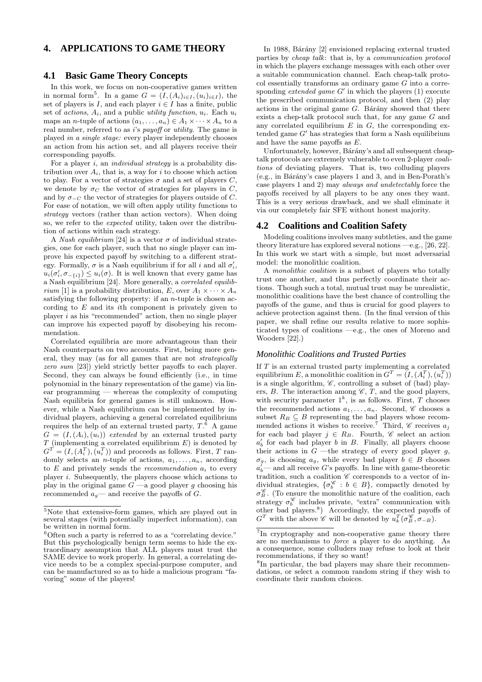# **4. APPLICATIONS TO GAME THEORY**

### **4.1 Basic Game Theory Concepts**

In this work, we focus on non-cooperative games written in normal form<sup>5</sup>. In a game  $G = (I, (A_i)_{i \in I}, (u_i)_{i \in I})$ , the set of players is I, and each player  $i \in I$  has a finite, public set of actions,  $A_i$ , and a public *utility function*,  $u_i$ . Each  $u_i$ maps an *n*-tuple of actions  $(a_1, \ldots, a_n) \in A_1 \times \cdots \times A_n$  to a real number, referred to as i's payoff or utility. The game is played in a single stage: every player independently chooses an action from his action set, and all players receive their corresponding payoffs.

For a player  $i$ , an *individual strategy* is a probability distribution over  $A_i$ , that is, a way for i to choose which action to play. For a vector of strategies  $\sigma$  and a set of players  $C$ , we denote by  $\sigma_C$  the vector of strategies for players in C, and by  $\sigma_{-C}$  the vector of strategies for players outside of C. For ease of notation, we will often apply utility functions to strategy vectors (rather than action vectors). When doing so, we refer to the expected utility, taken over the distribution of actions within each strategy.

A Nash equilibrium [24] is a vector  $\sigma$  of individual strategies, one for each player, such that no single player can improve his expected payoff by switching to a different strategy. Formally,  $\sigma$  is a Nash equilibrium if for all i and all  $\sigma'_i$ ,  $u_i(\sigma'_i, \sigma_{-\{i\}}) \leq u_i(\sigma)$ . It is well known that every game has a Nash equilibrium [24]. More generally, a correlated equilib*rium* [1] is a probability distribution, E, over  $A_1 \times \cdots \times A_n$ satisfying the following property: if an  $n$ -tuple is chosen according to  $E$  and its *i*th component is privately given to player  $i$  as his "recommended" action, then no single player can improve his expected payoff by disobeying his recommendation.

Correlated equilibria are more advantageous than their Nash counterparts on two accounts. First, being more general, they may (as for all games that are not strategically zero sum [23]) yield strictly better payoffs to each player. Second, they can always be found efficiently (i.e., in time polynomial in the binary representation of the game) via linear programming — whereas the complexity of computing Nash equilibria for general games is still unknown. However, while a Nash equilibrium can be implemented by individual players, achieving a general correlated equilibrium requires the help of an external trusted party,  $T^{\bar{6}}$ A game  $G = (I, (A_i), (u_i))$  extended by an external trusted party  $T$  (implementing a correlated equilibrium  $E$ ) is denoted by  $G^T = (I, (A_i^T), (u_i^T))$  and proceeds as follows. First, T randomly selects an *n*-tuple of actions,  $a_1, \ldots, a_n$ , according to  $E$  and privately sends the *recommendation*  $a_i$  to every player i. Subsequently, the players choose which actions to play in the original game  $G$  —a good player g choosing his recommended  $a_q$ — and receive the payoffs of G.

In 1988, Bárány [2] envisioned replacing external trusted parties by cheap talk: that is, by a communication protocol in which the players exchange messages with each other over a suitable communication channel. Each cheap-talk protocol essentially transforms an ordinary game G into a corresponding *extended game*  $G'$  in which the players (1) execute the prescribed communication protocol, and then (2) play actions in the original game  $G$ . Bárány showed that there exists a chep-talk protocol such that, for any game G and any correlated equilibrium  $E$  in  $G$ , the corresponding extended game  $G'$  has strategies that form a Nash equilibrium and have the same payoffs as  $E$ .

Unfortunately, however, Bárány's and all subsequent cheaptalk protocols are extremely vulnerable to even 2-player coalitions of deviating players. That is, two colluding players  $(e.g., in Bárány's case players 1 and 3, and in Ben-Porath's$ case players 1 and 2) may always and undetectably force the payoffs received by all players to be any ones they want. This is a very serious drawback, and we shall eliminate it via our completely fair SFE without honest majority.

#### **4.2 Coalitions and Coalition Safety**

Modeling coalitions involves many subtleties, and the game theory literature has explored several notions  $-e.g., [26, 22].$ In this work we start with a simple, but most adversarial model: the monolithic coalition.

A monolithic coalition is a subset of players who totally trust one another, and thus perfectly coordinate their actions. Though such a total, mutual trust may be unrealistic, monolithic coalitions have the best chance of controlling the payoffs of the game, and thus is crucial for good players to achieve protection against them. (In the final version of this paper, we shall refine our results relative to more sophisticated types of coalitions —e.g., the ones of Moreno and Wooders [22].)

#### *Monolithic Coalitions and Trusted Parties*

If T is an external trusted party implementing a correlated equilibrium E, a monolithic coalition in  $G^T = (I, (A_i^T), (u_i^T))$ is a single algorithm,  $\mathscr{C}$ , controlling a subset of (bad) players, B. The interaction among  $\mathscr{C}, T$ , and the good players, with security parameter  $1^k$ , is as follows. First, T chooses the recommended actions  $a_1, \ldots, a_n$ . Second,  $\mathscr C$  chooses a subset  $R_B \subseteq B$  representing the bad players whose recommended actions it wishes to receive.<sup>7</sup> Third,  $\mathscr C$  receives  $a_i$ for each bad player  $j \in R_B$ . Fourth,  $\mathscr C$  select an action  $a'_b$  for each bad player b in B. Finally, all players choose their actions in  $G$  —the strategy of every good player g,  $\sigma_g$ , is choosing  $a_g$ , while every bad player  $b \in B$  chooses  $a_0^{\prime}$  and all receive G's payoffs. In line with game-theoretic tradition, such a coalition  $\mathscr C$  corresponds to a vector of individual strategies,  $\{\sigma_b^{\mathscr{C}} : b \in B\}$ , compactly denoted by  $\sigma_B^{\mathscr{C}}$ . (To ensure the monolithic nature of the coalition, each strategy  $\sigma_b^{\mathscr{C}}$  includes private, "extra" communication with other bad players.<sup>8</sup>) Accordingly, the expected payoffs of  $G<sup>T</sup>$  with the above  $\mathscr C$  will be denoted by  $u_k^T(\sigma_B^{\mathscr C}, \sigma_{-B})$ .

<sup>5</sup>Note that extensive-form games, which are played out in several stages (with potentially imperfect information), can be written in normal form.

 $6$ Often such a party is referred to as a "correlating device." But this psychologically benign term seems to hide the extraordinary assumption that ALL players must trust the SAME device to work properly. In general, a correlating device needs to be a complex special-purpose computer, and can be manufactured so as to hide a malicious program "favoring" some of the players!

<sup>&</sup>lt;sup>7</sup>In cryptography and non-cooperative game theory there are no mechanisms to force a player to do anything. As a consequence, some colluders may refuse to look at their recommendations, if they so want!

<sup>8</sup> In particular, the bad players may share their recommendations, or select a common random string if they wish to coordinate their random choices.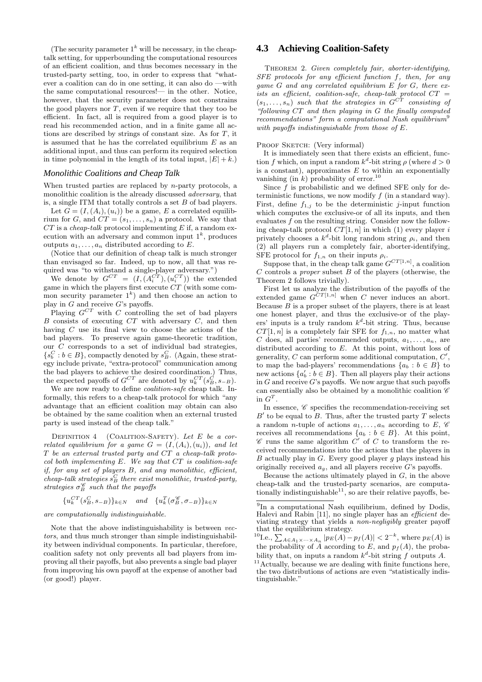(The security parameter  $1^k$  will be necessary, in the cheaptalk setting, for upperbounding the computational resources of an efficient coalition, and thus becomes necessary in the trusted-party setting, too, in order to express that "whatever a coalition can do in one setting, it can also do —with the same computational resources!— in the other. Notice, however, that the security parameter does not constrains the good players nor  $T$ , even if we require that they too be efficient. In fact, all is required from a good player is to read his recommended action, and in a finite game all actions are described by strings of constant size. As for T, it is assumed that he has the correlated equilibrium  $E$  as an additional input, and thus can perform its required selection in time polynomial in the length of its total input,  $|E| + k$ .

#### *Monolithic Coalitions and Cheap Talk*

When trusted parties are replaced by n-party protocols, a monolithic coalition is the already discussed adversary, that is, a single ITM that totally controls a set  $B$  of bad players.

Let  $G = (I, (A_i), (u_i))$  be a game, E a correlated equilibrium for G, and  $CT = (s_1, \ldots, s_n)$  a protocol. We say that  $CT$  is a *cheap-talk* protocol implementing  $E$  if, a random execution with an adversary and common input  $1<sup>k</sup>$ , produces outputs  $a_1, \ldots, a_n$  distributed according to E.

(Notice that our definition of cheap talk is much stronger than envisaged so far. Indeed, up to now, all that was required was "to withstand a single-player adversary.")

We denote by  $G^{CT} = (I, (A_i^{CT}), (u_i^{CT}))$  the extended game in which the players first execute  $CT$  (with some common security parameter  $1^k$ ) and then choose an action to play in  $G$  and receive  $G$ 's payoffs.

Playing  $G^{CT}$  with C controlling the set of bad players  $B$  consists of executing  $CT$  with adversary  $C$ , and then having C use its final view to choose the actions of the bad players. To preserve again game-theoretic tradition, our C corresponds to a set of individual bad strategies,  $\{s_b^C : b \in B\}$ , compactly denoted by  $s_B^C$ . (Again, these strategy include private, "extra-protocol" communication among the bad players to achieve the desired coordination.) Thus, the expected payoffs of  $G^{CT}$  are denoted by  $u_k^{CT}(s_B^C, s_{-B})$ .

We are now ready to define *coalition-safe* cheap talk. Informally, this refers to a cheap-talk protocol for which "any advantage that an efficient coalition may obtain can also be obtained by the same coalition when an external trusted party is used instead of the cheap talk."

DEFINITION  $4$  (COALITION-SAFETY). Let E be a correlated equilibrium for a game  $G = (I, (A_i), (u_i))$ , and let T be an external trusted party and CT a cheap-talk protocol both implementing  $E$ . We say that  $CT$  is coalition-safe if, for any set of players B, and any monolithic, efficient, cheap-talk strategies  $s_B^C$  there exist monolithic, trusted-party, strategies  $\sigma_B^{\mathscr{C}}$  such that the payoffs

 ${u_k^{CT}(s_B^C, s_{-B})}\}_{k \in N}$  and  ${u_k^{T}(\sigma_B^{\mathscr{C}}, \sigma_{-B})}\}_{k \in N}$ 

are computationally indistinguishable.

Note that the above indistinguishability is between vectors, and thus much stronger than simple indistinguishability between individual components. In particular, therefore, coalition safety not only prevents all bad players from improving all their payoffs, but also prevents a single bad player from improving his own payoff at the expense of another bad (or good!) player.

### **4.3 Achieving Coalition-Safety**

THEOREM 2. Given completely fair, aborter-identifying, SFE protocols for any efficient function f, then, for any game  $G$  and any correlated equilibrium  $E$  for  $G$ , there exists an efficient, coalition-safe, cheap-talk protocol  $CT =$  $(s_1, \ldots, s_n)$  such that the strategies in  $G^{CT}$  consisting of "following CT and then playing in G the finally computed recommendations" form a computational Nash equilibrium<sup>9</sup> with payoffs indistinguishable from those of E.

#### PROOF SKETCH: (Very informal)

It is immediately seen that there exists an efficient, function f which, on input a random  $k^d$ -bit string  $\rho$  (where  $d > 0$ is a constant), approximates  $E$  to within an exponentially vanishing (in  $k$ ) probability of error.<sup>10</sup>

Since  $f$  is probabilistic and we defined SFE only for deterministic functions, we now modify  $f$  (in a standard way). First, define  $f_{1,j}$  to be the deterministic j-input function which computes the exclusive-or of all its inputs, and then evaluates  $\tilde{f}$  on the resulting string. Consider now the following cheap-talk protocol  $CT[1, n]$  in which (1) every player i privately chooses a  $k^d$ -bit long random string  $\rho_i$ , and then (2) all players run a completely fair, aborter-identifying, SFE protocol for  $f_{1,n}$  on their inputs  $\rho_i$ .

Suppose that, in the cheap talk game  $G^{CT[1,n]}$ , a coalition  $C$  controls a *proper* subset  $B$  of the players (otherwise, the Theorem 2 follows trivially).

First let us analyze the distribution of the payoffs of the extended game  $G^{CT[1,n]}$  when C never induces an abort. Because  $B$  is a proper subset of the players, there is at least one honest player, and thus the exclusive-or of the players' inputs is a truly random  $k^d$ -bit string. Thus, because  $CT[1, n]$  is a completely fair SFE for  $f_{1,n}$ , no matter what C does, all parties' recommended outputs,  $a_1, \ldots, a_n$ , are distributed according to E. At this point, without loss of generality,  $C$  can perform some additional computation,  $C'$ , to map the bad-players' recommendations  $\{a_b : b \in B\}$  to new actions  $\{a'_b : b \in B\}$ . Then all players play their actions in  $G$  and receive  $G$ 's payoffs. We now argue that such payoffs can essentially also be obtained by a monolithic coalition  $\mathscr C$ in  $G^T$ .

In essence,  $\mathscr C$  specifies the recommendation-receiving set  $B'$  to be equal to  $B$ . Thus, after the trusted party  $T$  selects a random *n*-tuple of actions  $a_1, \ldots, a_n$  according to E,  $\mathscr C$ receives all recommendations  $\{a_b : b \in B\}$ . At this point,  $\mathscr C$  runs the same algorithm  $C'$  of C to transform the received recommendations into the actions that the players in  $B$  actually play in  $G$ . Every good player  $g$  plays instead his originally received  $a_q$ , and all players receive G's payoffs.

Because the actions ultimately played in  $G$ , in the above cheap-talk and the trusted-party scenarios, are computationally indistinguishable $^{11}$ , so are their relative payoffs, be-

<sup>10</sup>I.e.,  $\sum_{A \in A_1 \times \cdots \times A_n} |p_E(A) - p_f(A)| < 2^{-k}$ , where  $p_E(A)$  is the probability of A according to E, and  $p_f(A)$ , the probability that, on inputs a random  $k^d$ -bit string f outputs A.

 $11$ Actually, because we are dealing with finite functions here, the two distributions of actions are even "statistically indistinguishable."

<sup>9</sup> In a computational Nash equilibrium, defined by Dodis, Halevi and Rabin [11], no single player has an efficient deviating strategy that yields a non-negligibly greater payoff that the equilibrium strategy.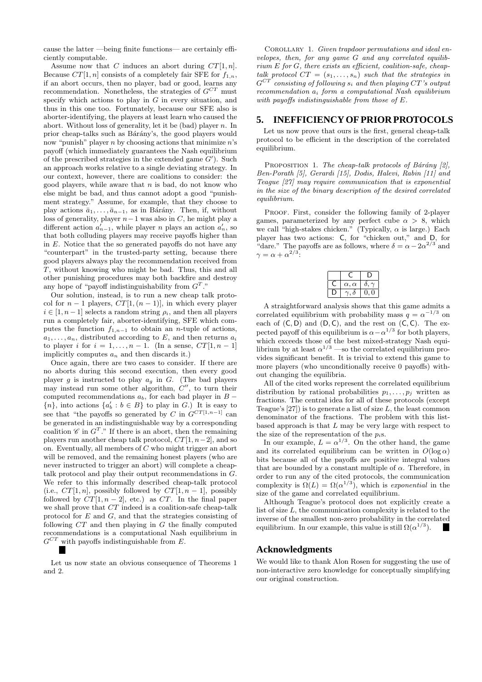cause the latter —being finite functions— are certainly efficiently computable.

Assume now that C induces an abort during  $CT[1, n]$ . Because  $CT[1, n]$  consists of a completely fair SFE for  $f_{1,n}$ , if an abort occurs, then no player, bad or good, learns any recommendation. Nonetheless, the strategies of  $G^{CT}$  must specify which actions to play in  $G$  in every situation, and thus in this one too. Fortunately, because our SFE also is aborter-identifying, the players at least learn who caused the abort. Without loss of generality, let it be (bad) player  $n$ . In prior cheap-talks such as Bárány's, the good players would now "punish" player  $n$  by choosing actions that minimize  $n$ 's payoff (which immediately guarantees the Nash equilibrium of the prescribed strategies in the extended game  $G'$ ). Such an approach works relative to a single deviating strategy. In our context, however, there are coalitions to consider: the good players, while aware that  $n$  is bad, do not know who else might be bad, and thus cannot adopt a good "punishment strategy." Assume, for example, that they choose to play actions  $\bar{a}_1, \ldots, \bar{a}_{n-1}$ , as in Bárány. Then, if, without loss of generality, player  $n-1$  was also in C, he might play a different action  $a'_{n-1}$ , while player n plays an action  $a'_n$ , so that both colluding players may receive payoffs higher than in  $E$ . Notice that the so generated payoffs do not have any "counterpart" in the trusted-party setting, because there good players always play the recommendation received from T, without knowing who might be bad. Thus, this and all other punishing procedures may both backfire and destroy any hope of "payoff indistinguishability from  $G<sup>T</sup>$ ."

Our solution, instead, is to run a new cheap talk protocol for  $n-1$  players,  $CT[1,(n-1)]$ , in which every player  $i \in [1, n-1]$  selects a random string  $\rho_i$ , and then all players run a completely fair, aborter-identifying, SFE which computes the function  $f_{1,n-1}$  to obtain an *n*-tuple of actions,  $a_1, \ldots, a_n$ , distributed according to E, and then returns  $a_i$ to player i for  $i = 1, ..., n - 1$ . (In a sense,  $CT[1, n - 1]$ implicitly computes  $a_n$  and then discards it.)

Once again, there are two cases to consider. If there are no aborts during this second execution, then every good player g is instructed to play  $a_g$  in G. (The bad players may instead run some other algorithm,  $C''$ , to turn their computed recommendations  $a_b$ , for each bad player in  $B {n}$ , into actions  ${a'_b : b \in B}$  to play in G.) It is easy to see that "the payoffs so generated by C in  $G^{CT[1,n-1]}$  can be generated in an indistinguishable way by a corresponding coalition  $\mathscr{C}$  in  $G^T$ ." If there is an abort, then the remaining players run another cheap talk protocol,  $CT[1, n-2]$ , and so on. Eventually, all members of  $\overline{C}$  who might trigger an abort will be removed, and the remaining honest players (who are never instructed to trigger an abort) will complete a cheaptalk protocol and play their output recommendations in G. We refer to this informally described cheap-talk protocol (i.e.,  $CT[1, n]$ , possibly followed by  $CT[1, n - 1]$ , possibly followed by  $CT[1, n-2]$ , etc.) as CT. In the final paper we shall prove that CT indeed is a coalition-safe cheap-talk protocol for  $E$  and  $G$ , and that the strategies consisting of following  $CT$  and then playing in  $G$  the finally computed recommendations is a computational Nash equilibrium in  $G^{CT}$  with payoffs indistinguishable from E.

Let us now state an obvious consequence of Theorems 1 and 2.

COROLLARY 1. Given trapdoor permutations and ideal envelopes, then, for any game G and any correlated equilib $rium E for G, there exists an efficient, coalition-safe, cheap$ talk protocol  $CT = (s_1, \ldots, s_n)$  such that the strategies in  $G^{CT}$  consisting of following  $s_i$  and then playing CT's output recommendation a<sup>i</sup> form a computational Nash equilibrium with payoffs indistinguishable from those of E.

#### **5. INEFFICIENCY OF PRIOR PROTOCOLS**

Let us now prove that ours is the first, general cheap-talk protocol to be efficient in the description of the correlated equilibrium.

PROPOSITION 1. The cheap-talk protocols of Bárány  $[2]$ , Ben-Porath [5], Gerardi [15], Dodis, Halevi, Rabin [11] and Teague [27] may require communication that is exponential in the size of the binary description of the desired correlated equilibrium.

PROOF. First, consider the following family of 2-player games, parameterized by any perfect cube  $\alpha > 8$ , which we call "high-stakes chicken." (Typically,  $\alpha$  is large.) Each player has two actions: C, for "chicken out," and D, for "dare." The payoffs are as follows, where  $\delta = \alpha - 2\alpha^{2/3}$  and  $\gamma = \alpha + \alpha^{2/3}$ 

| $\alpha, \alpha$ | $\theta$ |
|------------------|----------|
|                  |          |

A straightforward analysis shows that this game admits a correlated equilibrium with probability mass  $q = \alpha^{-1/3}$  on each of  $(C, D)$  and  $(D, C)$ , and the rest on  $(C, C)$ . The expected payoff of this equilibrium is  $\alpha - \alpha^{1/3}$  for both players, which exceeds those of the best mixed-strategy Nash equilibrium by at least  $\alpha^{1/3}$  —so the correlated equilibrium provides significant benefit. It is trivial to extend this game to more players (who unconditionally receive 0 payoffs) without changing the equilibria.

All of the cited works represent the correlated equilibrium distribution by rational probabilities  $p_1, \ldots, p_j$  written as fractions. The central idea for all of these protocols (except Teague's  $[27]$ ) is to generate a list of size L, the least common denominator of the fractions. The problem with this listbased approach is that  $L$  may be very large with respect to the size of the representation of the  $p_i$ s.

In our example,  $L = \alpha^{1/3}$ . On the other hand, the game and its correlated equilibrium can be written in  $O(\log \alpha)$ bits because all of the payoffs are positive integral values that are bounded by a constant multiple of  $\alpha$ . Therefore, in order to run any of the cited protocols, the communication complexity is  $\Omega(L) = \Omega(\alpha^{1/3})$ , which is *exponential* in the size of the game and correlated equilibrium.

Although Teague's protocol does not explicitly create a list of size  $L$ , the communication complexity is related to the inverse of the smallest non-zero probability in the correlated equilibrium. In our example, this value is still  $\Omega(\alpha^{1/3})$ .

### **Acknowledgments**

We would like to thank Alon Rosen for suggesting the use of non-interactive zero knowledge for conceptually simplifying our original construction.